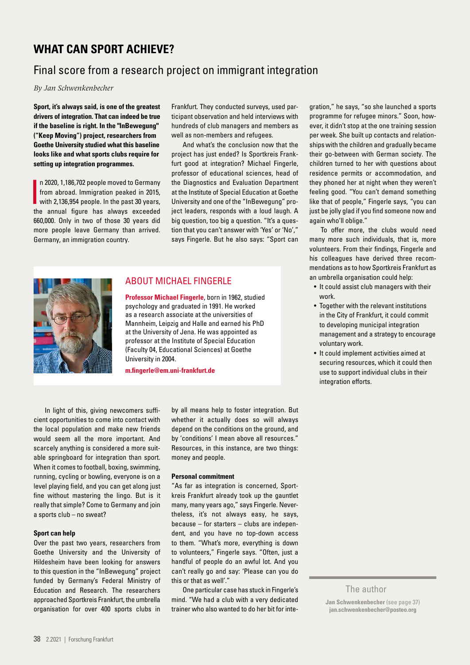# **Literatur WHAT CAN SPORT ACHIEVE?**

#### $\lim_{n \to \infty}$  and respect to the set of the set of the set of the set of the set of the set of the set of the set of the set of the set of the set of the set of the set of the set of the set of the set of the set of the set Final score from a research project on immigrant integration

 $\mathcal{O}(\mathcal{O})$ que nis ditis qui ipiciis cipsant *By Jan Schwenkenbecher* 

Sport, it's always said, is one of the greatest **drivers of integration. That can indeed be true if the baseline is right. In the "InBewegung" ("Keep Moving") project, researchers from Goethe University studied what this baseline looks like and what sports clubs require for setting up integration programmes.**

n 2020, 1,186,702 people moved to Germany<br>from abroad. Immigration peaked in 2015,<br>with 2,136,954 people. In the past 30 years,<br>the cannot finite be a shorter supercoded n 2020, 1,186,702 people moved to Germany from abroad. Immigration peaked in 2015, the annual figure has always exceeded 660,000. Only in two of those 30 years did more people leave Germany than arrived. Germany, an immigration country.

Frankfurt. They conducted surveys, used participant observation and held interviews with hundreds of club managers and members as well as non-members and refugees.

And what's the conclusion now that the project has just ended? Is Sportkreis Frankfurt good at integration? Michael Fingerle, professor of educational sciences, head of the Diagnostics and Evaluation Department at the Institute of Special Education at Goethe University and one of the "InBewegung" project leaders, responds with a loud laugh. A big question, too big a question. "It's a question that you can't answer with 'Yes' or 'No'," says Fingerle. But he also says: "Sport can



## ABOUT MICHAEL FINGERLE

**Professor Michael Fingerle**, born in 1962, studied psychology and graduated in 1991. He worked as a research associate at the universities of Mannheim, Leipzig and Halle and earned his PhD at the University of Jena. He was appointed as professor at the Institute of Special Education (Faculty 04, Educational Sciences) at Goethe University in 2004.

**[m.fingerle@em.uni-frankfurt.de](mailto:m.fingerle@em.uni-frankfurt.de)**

In light of this, giving newcomers sufficient opportunities to come into contact with the local population and make new friends would seem all the more important. And scarcely anything is considered a more suitable springboard for integration than sport. When it comes to football, boxing, swimming, running, cycling or bowling, everyone is on a level playing field, and you can get along just fine without mastering the lingo. But is it really that simple? Come to Germany and join a sports club – no sweat?

### **Sport can help**

Over the past two years, researchers from Goethe University and the University of Hildesheim have been looking for answers to this question in the "InBewegung" project funded by Germany's Federal Ministry of Education and Research. The researchers approached Sportkreis Frankfurt, the umbrella organisation for over 400 sports clubs in

by all means help to foster integration. But whether it actually does so will always depend on the conditions on the ground, and by 'conditions' I mean above all resources." Resources, in this instance, are two things: money and people.

### **Personal commitment**

"As far as integration is concerned, Sportkreis Frankfurt already took up the gauntlet many, many years ago," says Fingerle. Nevertheless, it's not always easy, he says, because – for starters – clubs are independent, and you have no top-down access to them. "What's more, everything is down to volunteers," Fingerle says. "Often, just a handful of people do an awful lot. And you can't really go and say: 'Please can you do this or that as well'."

One particular case has stuck in Fingerle's mind. "We had a club with a very dedicated trainer who also wanted to do her bit for integration," he says, "so she launched a sports programme for refugee minors." Soon, however, it didn't stop at the one training session per week. She built up contacts and relationships with the children and gradually became their go-between with German society. The children turned to her with questions about residence permits or accommodation, and they phoned her at night when they weren't feeling good. "You can't demand something like that of people," Fingerle says, "you can just be jolly glad if you find someone now and again who'll oblige."

To offer more, the clubs would need many more such individuals, that is, more volunteers. From their findings, Fingerle and his colleagues have derived three recommendations as to how Sportkreis Frankfurt as an umbrella organisation could help:

- It could assist club managers with their work.
- Together with the relevant institutions in the City of Frankfurt, it could commit to developing municipal integration management and a strategy to encourage voluntary work.
- It could implement activities aimed at securing resources, which it could then use to support individual clubs in their integration efforts.

## The author

**Jan Schwenkenbecher** (see page 37) **[jan.schwenkenbecher@posteo.org](mailto:jan.schwenkenbecher@posteo.org)**